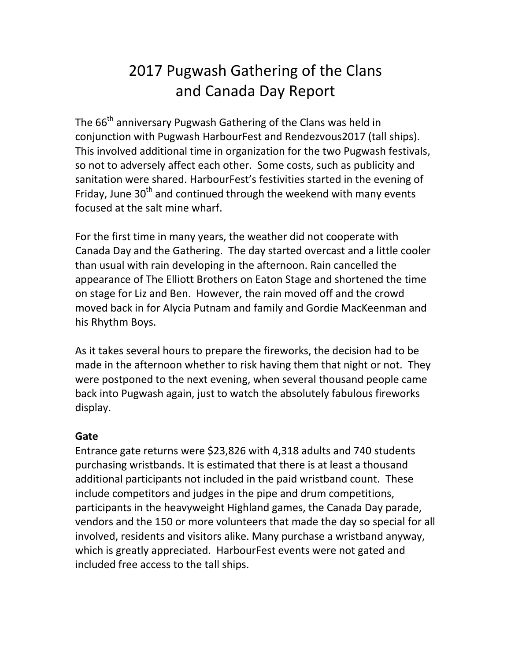# 2017 Pugwash Gathering of the Clans and Canada Day Report

The 66<sup>th</sup> anniversary Pugwash Gathering of the Clans was held in conjunction with Pugwash HarbourFest and Rendezvous2017 (tall ships). This involved additional time in organization for the two Pugwash festivals, so not to adversely affect each other. Some costs, such as publicity and sanitation were shared. HarbourFest's festivities started in the evening of Friday, June  $30<sup>th</sup>$  and continued through the weekend with many events focused at the salt mine wharf.

For the first time in many years, the weather did not cooperate with Canada Day and the Gathering. The day started overcast and a little cooler than usual with rain developing in the afternoon. Rain cancelled the appearance of The Elliott Brothers on Eaton Stage and shortened the time on stage for Liz and Ben. However, the rain moved off and the crowd moved back in for Alycia Putnam and family and Gordie MacKeenman and his Rhythm Boys.

As it takes several hours to prepare the fireworks, the decision had to be made in the afternoon whether to risk having them that night or not. They were postponed to the next evening, when several thousand people came back into Pugwash again, just to watch the absolutely fabulous fireworks display.

## **Gate**

Entrance gate returns were \$23,826 with 4,318 adults and 740 students purchasing wristbands. It is estimated that there is at least a thousand additional participants not included in the paid wristband count. These include competitors and judges in the pipe and drum competitions, participants in the heavyweight Highland games, the Canada Day parade, vendors and the 150 or more volunteers that made the day so special for all involved, residents and visitors alike. Many purchase a wristband anyway, which is greatly appreciated. HarbourFest events were not gated and included free access to the tall ships.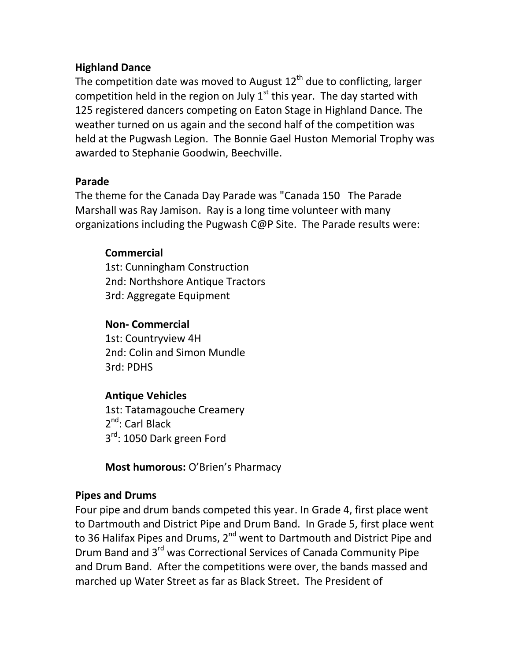## **Highland Dance**

The competition date was moved to August  $12<sup>th</sup>$  due to conflicting, larger competition held in the region on July  $1<sup>st</sup>$  this year. The day started with 125 registered dancers competing on Eaton Stage in Highland Dance. The weather turned on us again and the second half of the competition was held at the Pugwash Legion. The Bonnie Gael Huston Memorial Trophy was awarded to Stephanie Goodwin, Beechville.

#### **Parade**

The theme for the Canada Day Parade was "Canada 150 The Parade Marshall was Ray Jamison. Ray is a long time volunteer with many organizations including the Pugwash C@P Site. The Parade results were:

## **Commercial**

1st: Cunningham Construction 2nd: Northshore Antique Tractors 3rd: Aggregate Equipment

## **Non- Commercial**

1st: Countryview 4H 2nd: Colin and Simon Mundle 3rd: PDHS

## **Antique Vehicles**

1st: Tatamagouche Creamery 2<sup>nd</sup>: Carl Black 3<sup>rd</sup>: 1050 Dark green Ford

**Most humorous:** O'Brien's Pharmacy

#### **Pipes and Drums**

Four pipe and drum bands competed this year. In Grade 4, first place went to Dartmouth and District Pipe and Drum Band. In Grade 5, first place went to 36 Halifax Pipes and Drums, 2<sup>nd</sup> went to Dartmouth and District Pipe and Drum Band and 3rd was Correctional Services of Canada Community Pipe and Drum Band. After the competitions were over, the bands massed and marched up Water Street as far as Black Street. The President of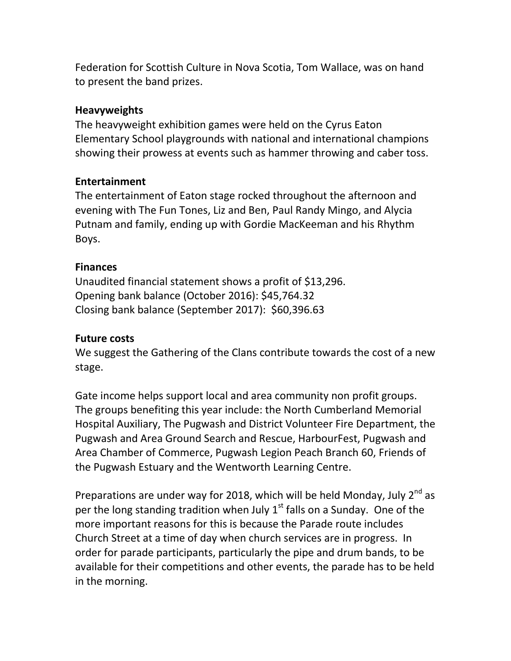Federation for Scottish Culture in Nova Scotia, Tom Wallace, was on hand to present the band prizes.

#### **Heavyweights**

The heavyweight exhibition games were held on the Cyrus Eaton Elementary School playgrounds with national and international champions showing their prowess at events such as hammer throwing and caber toss.

## **Entertainment**

The entertainment of Eaton stage rocked throughout the afternoon and evening with The Fun Tones, Liz and Ben, Paul Randy Mingo, and Alycia Putnam and family, ending up with Gordie MacKeeman and his Rhythm Boys.

#### **Finances**

Unaudited financial statement shows a profit of \$13,296. Opening bank balance (October 2016): \$45,764.32 Closing bank balance (September 2017): \$60,396.63

#### **Future costs**

We suggest the Gathering of the Clans contribute towards the cost of a new stage.

Gate income helps support local and area community non profit groups. The groups benefiting this year include: the North Cumberland Memorial Hospital Auxiliary, The Pugwash and District Volunteer Fire Department, the Pugwash and Area Ground Search and Rescue, HarbourFest, Pugwash and Area Chamber of Commerce, Pugwash Legion Peach Branch 60, Friends of the Pugwash Estuary and the Wentworth Learning Centre.

Preparations are under way for 2018, which will be held Monday, July  $2^{nd}$  as per the long standing tradition when July  $1<sup>st</sup>$  falls on a Sunday. One of the more important reasons for this is because the Parade route includes Church Street at a time of day when church services are in progress. In order for parade participants, particularly the pipe and drum bands, to be available for their competitions and other events, the parade has to be held in the morning.